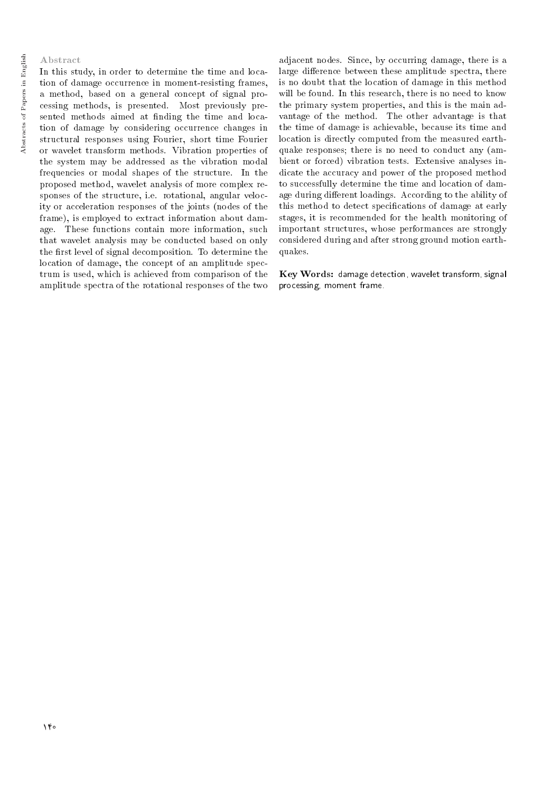## Abstract

In this study, in order to determine the time and location of damage occurrence in moment-resisting frames, a method, based on a general concept of signal processing methods, is presented. Most previously presented methods aimed at finding the time and location of damage by considering occurrence changes in structural responses using Fourier, short time Fourier or wavelet transform methods. Vibration properties of the system may be addressed as the vibration modal frequencies or modal shapes of the structure. In the proposed method, wavelet analysis of more complex responses of the structure, i.e. rotational, angular velocity or acceleration responses of the joints (nodes of the frame), is employed to extract information about damage. These functions contain more information, such that wavelet analysis may be conducted based on only the first level of signal decomposition. To determine the location of damage, the concept of an amplitude spectrum is used, which is achieved from comparison of the amplitude spectra of the rotational responses of the two

adjacent nodes. Since, by occurring damage, there is a large difference between these amplitude spectra, there is no doubt that the location of damage in this method will be found. In this research, there is no need to know the primary system properties, and this is the main advantage of the method. The other advantage is that the time of damage is achievable, because its time and location is directly computed from the measured earthquake responses; there is no need to conduct any (ambient or forced) vibration tests. Extensive analyses indicate the accuracy and power of the proposed method to successfully determine the time and location of damage during different loadings. According to the ability of this method to detect specications of damage at early stages, it is recommended for the health monitoring of important structures, whose performances are strongly considered during and after strong ground motion earthquakes.

Key Words: damage detection, wavelet transform, signal processing, moment frame.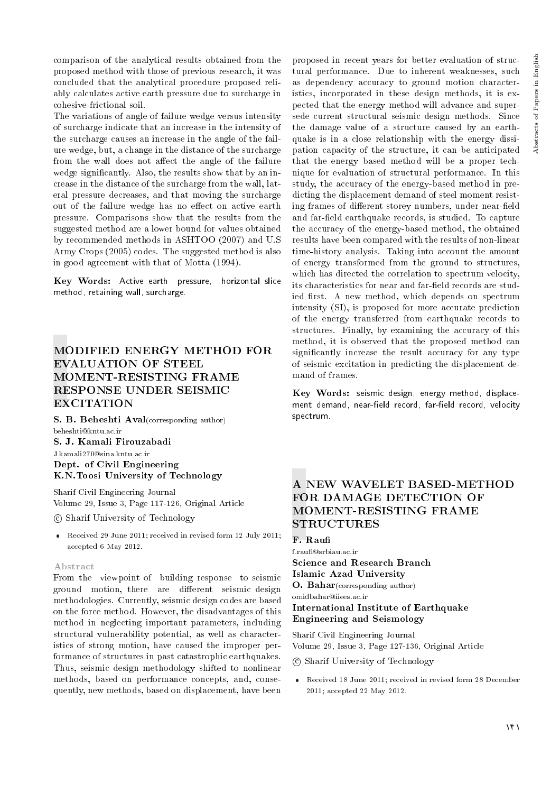comparison of the analytical results obtained from the proposed method with those of previous research, it was concluded that the analytical procedure proposed reliably calculates active earth pressure due to surcharge in cohesive-frictional soil.

The variations of angle of failure wedge versus intensity of surcharge indicate that an increase in the intensity of the surcharge causes an increase in the angle of the failure wedge, but, a change in the distance of the surcharge from the wall does not affect the angle of the failure wedge signicantly. Also, the results show that by an increase in the distance of the surcharge from the wall, lateral pressure decreases, and that moving the surcharge out of the failure wedge has no effect on active earth pressure. Comparisons show that the results from the suggested method are a lower bound for values obtained by recommended methods in ASHTOO (2007) and U.S Army Crops (2005) codes. The suggested method is also in good agreement with that of Motta (1994).

Key Words: Active earth pressure, horizontal slice method, retaining wall, surcharge.

# MODIFIED ENERGY METHOD FOR EVALUATION OF STEEL MOMENT-RESISTING FRAME RESPONSE UNDER SEISMIC EXCITATION

S. B. Beheshti Aval(corresponding author) beheshti@kntu.ac.ir

S. J. Kamali Firouzabadi J.kamali270@sina.kntu.ac.ir Dept. of Civil Engineering K.N.Toosi University of Technology

Sharif Civil Engineering Journal Volume 29, Issue 3, Page 117-126, Original Article

c Sharif University of Technology

 Received 29 June 2011; received in revised form 12 July 2011; accepted 6 May 2012.

## Abstract

From the viewpoint of building response to seismic ground motion, there are different seismic design methodologies. Currently, seismic design codes are based on the force method. However, the disadvantages of this method in neglecting important parameters, including structural vulnerability potential, as well as characteristics of strong motion, have caused the improper performance of structures in past catastrophic earthquakes. Thus, seismic design methodology shifted to nonlinear methods, based on performance concepts, and, consequently, new methods, based on displacement, have been proposed in recent years for better evaluation of structural performance. Due to inherent weaknesses, such as dependency accuracy to ground motion characteristics, incorporated in these design methods, it is expected that the energy method will advance and supersede current structural seismic design methods. Since the damage value of a structure caused by an earthquake is in a close relationship with the energy dissipation capacity of the structure, it can be anticipated that the energy based method will be a proper technique for evaluation of structural performance. In this study, the accuracy of the energy-based method in predicting the displacement demand of steel moment resisting frames of different storey numbers, under near-field and far-field earthquake records, is studied. To capture the accuracy of the energy-based method, the obtained results have been compared with the results of non-linear time-history analysis. Taking into account the amount of energy transformed from the ground to structures, which has directed the correlation to spectrum velocity, its characteristics for near and far-field records are studied first. A new method, which depends on spectrum intensity (SI), is proposed for more accurate prediction of the energy transferred from earthquake records to structures. Finally, by examining the accuracy of this method, it is observed that the proposed method can signicantly increase the result accuracy for any type of seismic excitation in predicting the displacement demand of frames.

Key Words: seismic design, energy method, displacement demand, near-field record, far-field record, velocity spectrum.

# A NEW WAVELET BASED-METHOD FOR DAMAGE DETECTION OF MOMENT-RESISTING FRAME **STRUCTURES**

## F. Rau

f.rau@srbiau.ac.ir Science and Research Branch Islamic Azad University O. Bahar(corresponding author) omidbahar@iiees.ac.ir International Institute of Earthquake Engineering and Seismology

Sharif Civil Engineering Journal Volume 29, Issue 3, Page 127-136, Original Article

c Sharif University of Technology

 Received 18 June 2011; received in revised form 28 December 2011; accepted 22 May 2012.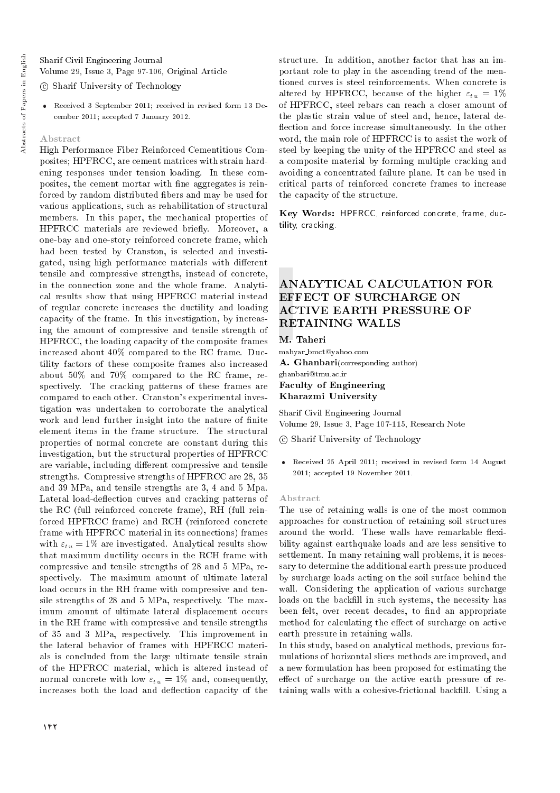Sharif Civil Engineering Journal Volume 29, Issue 3, Page 97-106, Original Article

## c Sharif University of Technology

 Received 3 September 2011; received in revised form 13 December 2011; accepted 7 January 2012.

#### Abstract

High Performance Fiber Reinforced Cementitious Composites; HPFRCC, are cement matrices with strain hardening responses under tension loading. In these composites, the cement mortar with fine aggregates is reinforced by random distributed fibers and may be used for various applications, such as rehabilitation of structural members. In this paper, the mechanical properties of HPFRCC materials are reviewed briefly. Moreover, a one-bay and one-story reinforced concrete frame, which had been tested by Cranston, is selected and investigated, using high performance materials with different tensile and compressive strengths, instead of concrete, in the connection zone and the whole frame. Analytical results show that using HPFRCC material instead of regular concrete increases the ductility and loading capacity of the frame. In this investigation, by increasing the amount of compressive and tensile strength of HPFRCC, the loading capacity of the composite frames increased about 40% compared to the RC frame. Ductility factors of these composite frames also increased about 50% and 70% compared to the RC frame, respectively. The cracking patterns of these frames are compared to each other. Cranston's experimental investigation was undertaken to corroborate the analytical work and lend further insight into the nature of finite element items in the frame structure. The structural properties of normal concrete are constant during this investigation, but the structural properties of HPFRCC are variable, including different compressive and tensile strengths. Compressive strengths of HPFRCC are 28, 35 and 39 MPa, and tensile strengths are 3, 4 and 5 Mpa. Lateral load-deflection curves and cracking patterns of the RC (full reinforced concrete frame), RH (full reinforced HPFRCC frame) and RCH (reinforced concrete frame with HPFRCC material in its connections) frames with  $\varepsilon_{tu} = 1\%$  are investigated. Analytical results show that maximum ductility occurs in the RCH frame with compressive and tensile strengths of 28 and 5 MPa, respectively. The maximum amount of ultimate lateral load occurs in the RH frame with compressive and tensile strengths of 28 and 5 MPa, respectively. The maximum amount of ultimate lateral displacement occurs in the RH frame with compressive and tensile strengths of 35 and 3 MPa, respectively. This improvement in the lateral behavior of frames with HPFRCC materials is concluded from the large ultimate tensile strain of the HPFRCC material, which is altered instead of normal concrete with low  $\varepsilon_{tu} = 1\%$  and, consequently, increases both the load and deflection capacity of the

structure. In addition, another factor that has an important role to play in the ascending trend of the mentioned curves is steel reinforcements. When concrete is altered by HPFRCC, because of the higher  $\varepsilon_{tu} = 1\%$ of HPFRCC, steel rebars can reach a closer amount of the plastic strain value of steel and, hence, lateral de flection and force increase simultaneously. In the other word, the main role of HPFRCC is to assist the work of steel by keeping the unity of the HPFRCC and steel as a composite material by forming multiple cracking and avoiding a concentrated failure plane. It can be used in critical parts of reinforced concrete frames to increase the capacity of the structure.

Key Words: HPFRCC, reinforced concrete, frame, ductility, cracking.

# ANALYTICAL CALCULATION FOR EFFECT OF SURCHARGE ON ACTIVE EARTH PRESSURE OF RETAINING WALLS

M. Taheri

mahyar bmct@yahoo.com A. Ghanbari(corresponding author) ghanbari@tmu.ac.ir Faculty of Engineering Kharazmi University

Sharif Civil Engineering Journal Volume 29, Issue 3, Page 107-115, Research Note

c Sharif University of Technology

 Received 25 April 2011; received in revised form 14 August 2011; accepted 19 November 2011.

## Abstract

The use of retaining walls is one of the most common approaches for construction of retaining soil structures around the world. These walls have remarkable flexibility against earthquake loads and are less sensitive to settlement. In many retaining wall problems, it is necessary to determine the additional earth pressure produced by surcharge loads acting on the soil surface behind the wall. Considering the application of various surcharge loads on the backfill in such systems, the necessity has been felt, over recent decades, to find an appropriate method for calculating the effect of surcharge on active earth pressure in retaining walls.

In this study, based on analytical methods, previous formulations of horizontal slices methods are improved, and a new formulation has been proposed for estimating the effect of surcharge on the active earth pressure of retaining walls with a cohesive-frictional backfill. Using a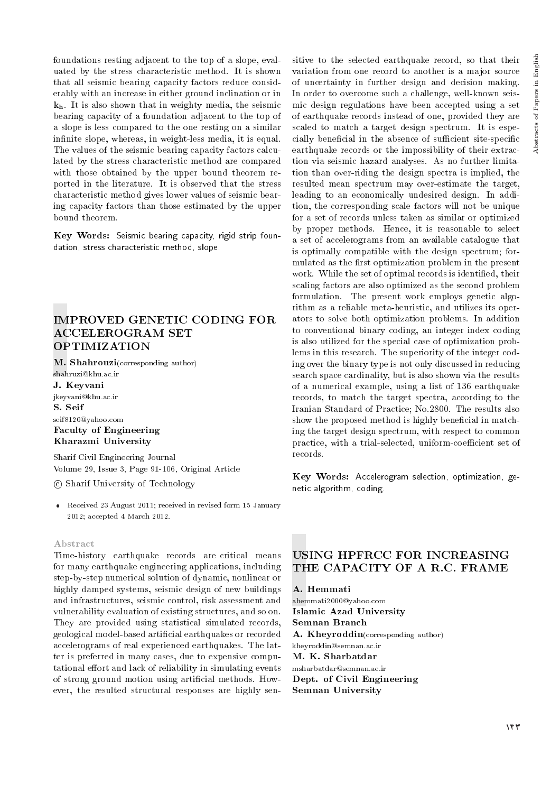foundations resting adjacent to the top of a slope, evaluated by the stress characteristic method. It is shown that all seismic bearing capacity factors reduce considerably with an increase in either ground inclination or in kh. It is also shown that in weighty media, the seismic bearing capacity of a foundation adjacent to the top of a slope is less compared to the one resting on a similar infinite slope, whereas, in weight-less media, it is equal. The values of the seismic bearing capacity factors calculated by the stress characteristic method are compared with those obtained by the upper bound theorem reported in the literature. It is observed that the stress characteristic method gives lower values of seismic bearing capacity factors than those estimated by the upper bound theorem.

Key Words: Seismic bearing capacity, rigid strip foundation, stress characteristic method, slope.

# IMPROVED GENETIC CODING FOR ACCELEROGRAM SET OPTIMIZATION

M. Shahrouzi(corresponding author)

shahruzi@khu.ac.ir J. Keyvani jkeyvani@khu.ac.ir S. Seif seif8120@yahoo.com Faculty of Engineering Kharazmi University

Sharif Civil Engineering Journal Volume 29, Issue 3, Page 91-106, Original Article

c Sharif University of Technology

 Received 23 August 2011; received in revised form 15 January 2012; accepted 4 March 2012.

## Abstract

Time-history earthquake records are critical means for many earthquake engineering applications, including step-by-step numerical solution of dynamic, nonlinear or highly damped systems, seismic design of new buildings and infrastructures, seismic control, risk assessment and vulnerability evaluation of existing structures, and so on. They are provided using statistical simulated records, geological model-based articial earthquakes or recorded accelerograms of real experienced earthquakes. The latter is preferred in many cases, due to expensive computational effort and lack of reliability in simulating events of strong ground motion using articial methods. However, the resulted structural responses are highly sen-

sitive to the selected earthquake record, so that their variation from one record to another is a major source of uncertainty in further design and decision making. In order to overcome such a challenge, well-known seismic design regulations have been accepted using a set of earthquake records instead of one, provided they are scaled to match a target design spectrum. It is especially beneficial in the absence of sufficient site-specific earthquake records or the impossibility of their extraction via seismic hazard analyses. As no further limitation than over-riding the design spectra is implied, the resulted mean spectrum may over-estimate the target, leading to an economically undesired design. In addition, the corresponding scale factors will not be unique for a set of records unless taken as similar or optimized by proper methods. Hence, it is reasonable to select a set of accelerograms from an available catalogue that is optimally compatible with the design spectrum; formulated as the first optimization problem in the present work. While the set of optimal records is identified, their scaling factors are also optimized as the second problem formulation. The present work employs genetic algorithm as a reliable meta-heuristic, and utilizes its operators to solve both optimization problems. In addition to conventional binary coding, an integer index coding is also utilized for the special case of optimization problems in this research. The superiority of the integer coding over the binary type is not only discussed in reducing search space cardinality, but is also shown via the results of a numerical example, using a list of 136 earthquake records, to match the target spectra, according to the Iranian Standard of Practice; No.2800. The results also show the proposed method is highly beneficial in matching the target design spectrum, with respect to common practice, with a trial-selected, uniform-coefficient set of records.

Key Words: Accelerogram selection, optimization, genetic algorithm, coding.

# USING HPFRCC FOR INCREASING THE CAPACITY OF A R.C. FRAME

A. Hemmati ahemmati2000@yahoo.com Islamic Azad University Semnan Branch A. Kheyroddin(corresponding author) kheyroddin@semnan.ac.ir M. K. Sharbatdar msharbatdar@semnan.ac.ir Dept. of Civil Engineering Semnan University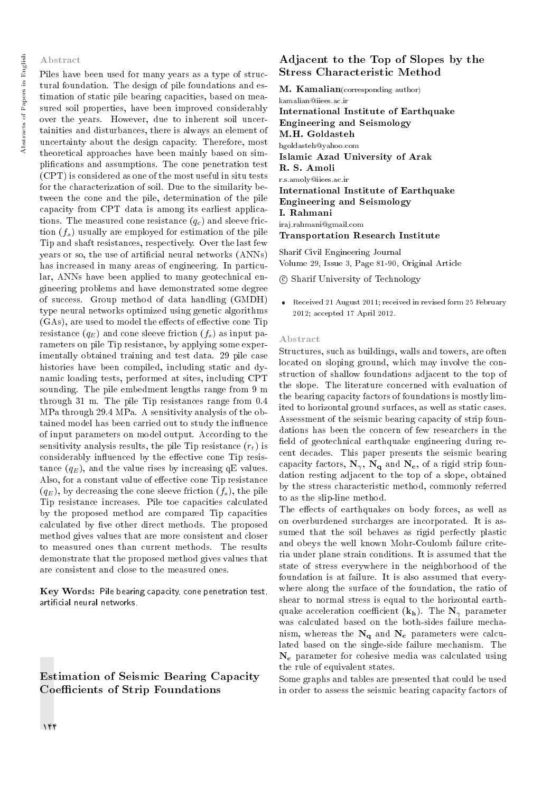## Abstract

Piles have been used for many years as a type of structural foundation. The design of pile foundations and estimation of static pile bearing capacities, based on measured soil properties, have been improved considerably over the years. However, due to inherent soil uncertainities and disturbances, there is always an element of uncertainty about the design capacity. Therefore, most theoretical approaches have been mainly based on simplications and assumptions. The cone penetration test (CPT) is considered as one of the most useful in situ tests for the characterization of soil. Due to the similarity between the cone and the pile, determination of the pile capacity from CPT data is among its earliest applications. The measured cone resistance  $(q_c)$  and sleeve friction  $(f_s)$  usually are employed for estimation of the pile Tip and shaft resistances, respectively. Over the last few years or so, the use of articial neural networks (ANNs) has increased in many areas of engineering. In particular, ANNs have been applied to many geotechnical engineering problems and have demonstrated some degree of success. Group method of data handling (GMDH) type neural networks optimized using genetic algorithms  $(GAs)$ , are used to model the effects of effective cone Tip resistance  $(q_E)$  and cone sleeve friction  $(f_s)$  as input parameters on pile Tip resistance, by applying some experimentally obtained training and test data. 29 pile case histories have been compiled, including static and dynamic loading tests, performed at sites, including CPT sounding. The pile embedment lengths range from 9 m through 31 m. The pile Tip resistances range from 0.4 MPa through 29.4 MPa. A sensitivity analysis of the obtained model has been carried out to study the influence of input parameters on model output. According to the sensitivity analysis results, the pile Tip resistance  $(r_t)$  is considerably influenced by the effective cone Tip resistance  $(q_E)$ , and the value rises by increasing qE values. Also, for a constant value of effective cone Tip resistance  $(q_E)$ , by decreasing the cone sleeve friction  $(f_s)$ , the pile Tip resistance increases. Pile toe capacities calculated by the proposed method are compared Tip capacities calculated by five other direct methods. The proposed method gives values that are more consistent and closer to measured ones than current methods. The results demonstrate that the proposed method gives values that are consistent and close to the measured ones.

Key Words: Pile bearing capacity, cone penetration test, articial neural networks.

Estimation of Seismic Bearing Capacity Coefficients of Strip Foundations

# Adjacent to the Top of Slopes by the Stress Characteristic Method

**M. Kamalian**(corresponding author) kamalian@iiees.ac.ir International Institute of Earthquake Engineering and Seismology M.H. Goldasteh hgoldasteh@yahoo.com Islamic Azad University of Arak R. S. Amoli r.s.amoly@iiees.ac.ir International Institute of Earthquake Engineering and Seismology I. Rahmani iraj.rahmani@gmail.com Transportation Research Institute

Sharif Civil Engineering Journal Volume 29, Issue 3, Page 81-90, Original Article

c Sharif University of Technology

 Received 21 August 2011; received in revised form 25 February 2012; accepted 17 April 2012.

#### Abstract

Structures, such as buildings, walls and towers, are often located on sloping ground, which may involve the construction of shallow foundations adjacent to the top of the slope. The literature concerned with evaluation of the bearing capacity factors of foundations is mostly limited to horizontal ground surfaces, as well as static cases. Assessment of the seismic bearing capacity of strip foundations has been the concern of few researchers in the field of geotechnical earthquake engineering during recent decades. This paper presents the seismic bearing capacity factors,  $N_{\gamma}$ ,  $N_{q}$  and  $N_{c}$ , of a rigid strip foundation resting adjacent to the top of a slope, obtained by the stress characteristic method, commonly referred to as the slip-line method.

The effects of earthquakes on body forces, as well as on overburdened surcharges are incorporated. It is assumed that the soil behaves as rigid perfectly plastic and obeys the well known Mohr-Coulomb failure criteria under plane strain conditions. It is assumed that the state of stress everywhere in the neighborhood of the foundation is at failure. It is also assumed that everywhere along the surface of the foundation, the ratio of shear to normal stress is equal to the horizontal earthquake acceleration coefficient  $(k_h)$ . The  $N_{\gamma}$  parameter was calculated based on the both-sides failure mechanism, whereas the  $N_a$  and  $N_c$  parameters were calculated based on the single-side failure mechanism. The  $N_c$  parameter for cohesive media was calculated using the rule of equivalent states.

Some graphs and tables are presented that could be used in order to assess the seismic bearing capacity factors of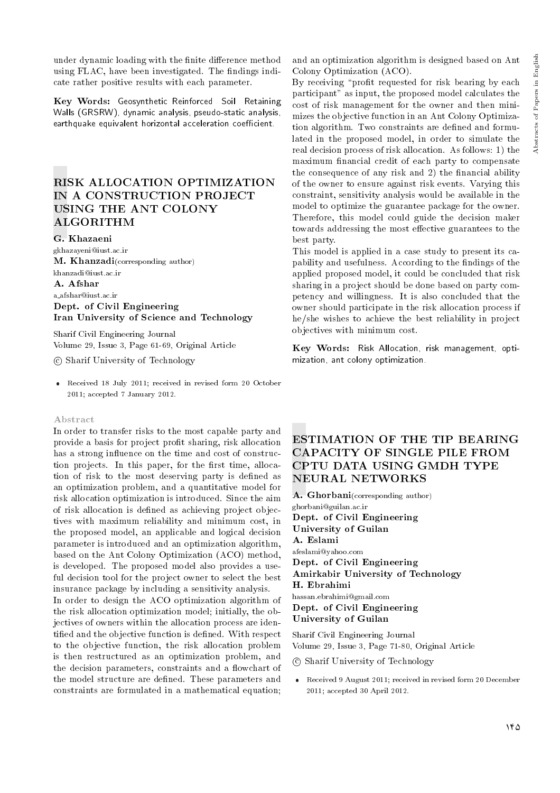under dynamic loading with the finite difference method using FLAC, have been investigated. The findings indicate rather positive results with each parameter.

Key Words: Geosynthetic Reinforced Soil Retaining Walls (GRSRW), dynamic analysis, pseudo-static analysis, earthquake equivalent horizontal acceleration coefficient.

# RISK ALLOCATION OPTIMIZATION IN A CONSTRUCTION PROJECT USING THE ANT COLONY ALGORITHM

## G. Khazaeni

gkhazayeni@iust.ac.ir M. Khanzadi(corresponding author) khanzadi@iust.ac.ir A. Afshar a afshar@iust.ac.ir Dept. of Civil Engineering Iran University of Science and Technology

Sharif Civil Engineering Journal Volume 29, Issue 3, Page 61-69, Original Article

## c Sharif University of Technology

 Received 18 July 2011; received in revised form 20 October 2011; accepted 7 January 2012.

#### Abstract

In order to transfer risks to the most capable party and provide a basis for project prot sharing, risk allocation has a strong influence on the time and cost of construction projects. In this paper, for the first time, allocation of risk to the most deserving party is dened as an optimization problem, and a quantitative model for risk allocation optimization is introduced. Since the aim of risk allocation is defined as achieving project objectives with maximum reliability and minimum cost, in the proposed model, an applicable and logical decision parameter is introduced and an optimization algorithm, based on the Ant Colony Optimization (ACO) method, is developed. The proposed model also provides a useful decision tool for the project owner to select the best insurance package by including a sensitivity analysis.

In order to design the ACO optimization algorithm of the risk allocation optimization model; initially, the objectives of owners within the allocation process are identified and the objective function is defined. With respect to the objective function, the risk allocation problem is then restructured as an optimization problem, and the decision parameters, constraints and a flowchart of the model structure are defined. These parameters and constraints are formulated in a mathematical equation; and an optimization algorithm is designed based on Ant Colony Optimization (ACO).

By receiving "profit requested for risk bearing by each participant" as input, the proposed model calculates the cost of risk management for the owner and then minimizes the objective function in an Ant Colony Optimization algorithm. Two constraints are defined and formulated in the proposed model, in order to simulate the real decision process of risk allocation. As follows: 1) the maximum nancial credit of each party to compensate the consequence of any risk and  $2$ ) the financial ability of the owner to ensure against risk events. Varying this constraint, sensitivity analysis would be available in the model to optimize the guarantee package for the owner. Therefore, this model could guide the decision maker towards addressing the most effective guarantees to the best party.

This model is applied in a case study to present its capability and usefulness. According to the findings of the applied proposed model, it could be concluded that risk sharing in a project should be done based on party competency and willingness. It is also concluded that the owner should participate in the risk allocation process if he/she wishes to achieve the best reliability in project objectives with minimum cost.

Key Words: Risk Allocation, risk management, optimization, ant colony optimization.

# ESTIMATION OF THE TIP BEARING CAPACITY OF SINGLE PILE FROM CPTU DATA USING GMDH TYPE NEURAL NETWORKS

A. Ghorbani(corresponding author)

ghorbani@guilan.ac.ir Dept. of Civil Engineering University of Guilan A. Eslami afeslami@yahoo.com Dept. of Civil Engineering Amirkabir University of Technology H. Ebrahimi hassan.ebrahimi@gmail.com Dept. of Civil Engineering University of Guilan

Sharif Civil Engineering Journal Volume 29, Issue 3, Page 71-80, Original Article

c Sharif University of Technology

 Received 9 August 2011; received in revised form 20 December 2011; accepted 30 April 2012.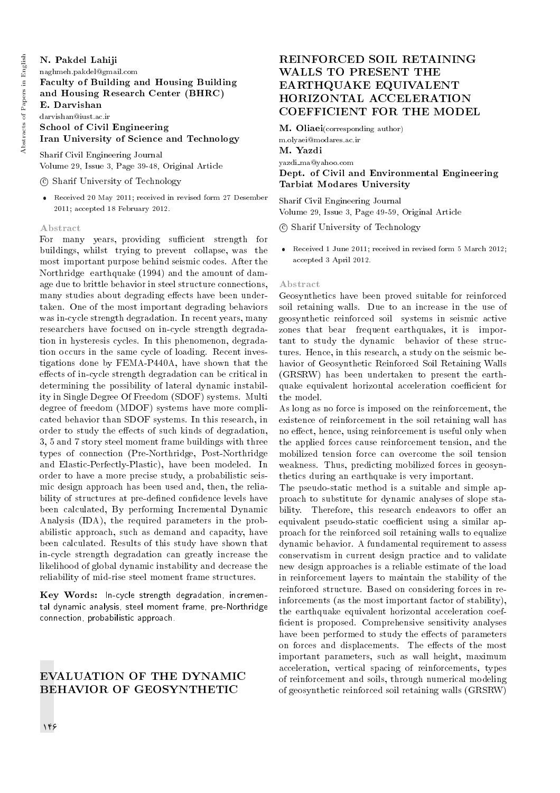## N. Pakdel Lahiji naghmeh.pakdel@gmail.com Faculty of Building and Housing Building and Housing Research Center (BHRC) E. Darvishan darvishan@iust.ac.ir School of Civil Engineering Iran University of Science and Technology

Sharif Civil Engineering Journal Volume 29, Issue 3, Page 39-48, Original Article

## c Sharif University of Technology

 Received 20 May 2011; received in revised form 27 Desember 2011; accepted 18 February 2012.

## Abstract

For many years, providing sufficient strength for buildings, whilst trying to prevent collapse, was the most important purpose behind seismic codes. After the Northridge earthquake (1994) and the amount of damage due to brittle behavior in steel structure connections, many studies about degrading effects have been undertaken. One of the most important degrading behaviors was in-cycle strength degradation. In recent years, many researchers have focused on in-cycle strength degradation in hysteresis cycles. In this phenomenon, degradation occurs in the same cycle of loading. Recent investigations done by FEMA-P440A, have shown that the effects of in-cycle strength degradation can be critical in determining the possibility of lateral dynamic instability in Single Degree Of Freedom (SDOF) systems. Multi degree of freedom (MDOF) systems have more complicated behavior than SDOF systems. In this research, in order to study the effects of such kinds of degradation. 3, 5 and 7 story steel moment frame buildings with three types of connection (Pre-Northridge, Post-Northridge and Elastic-Perfectly-Plastic), have been modeled. In order to have a more precise study, a probabilistic seismic design approach has been used and, then, the reliability of structures at pre-defined confidence levels have been calculated, By performing Incremental Dynamic Analysis (IDA), the required parameters in the probabilistic approach, such as demand and capacity, have been calculated. Results of this study have shown that in-cycle strength degradation can greatly increase the likelihood of global dynamic instability and decrease the reliability of mid-rise steel moment frame structures.

Key Words: In-cycle strength degradation, incremental dynamic analysis, steel moment frame, pre-Northridge connection, probabilistic approach.

# EVALUATION OF THE DYNAMIC BEHAVIOR OF GEOSYNTHETIC

# REINFORCED SOIL RETAINING WALLS TO PRESENT THE EARTHQUAKE EQUIVALENT HORIZONTAL ACCELERATION COEFFICIENT FOR THE MODEL

M. Oliaei(corresponding author) m.olyaei@modares.ac.ir M. Yazdi yazdi ma@yahoo.com Dept. of Civil and Environmental Engineering Tarbiat Modares University

Sharif Civil Engineering Journal Volume 29, Issue 3, Page 49-59, Original Article

c Sharif University of Technology

 Received 1 June 2011; received in revised form 5 March 2012; accepted 3 April 2012.

## Abstract

Geosynthetics have been proved suitable for reinforced soil retaining walls. Due to an increase in the use of geosynthetic reinforced soil systems in seismic active zones that bear frequent earthquakes, it is important to study the dynamic behavior of these structures. Hence, in this research, a study on the seismic behavior of Geosynthetic Reinforced Soil Retaining Walls (GRSRW) has been undertaken to present the earthquake equivalent horizontal acceleration coefficient for the model.

As long as no force is imposed on the reinforcement, the existence of reinforcement in the soil retaining wall has no effect, hence, using reinforcement is useful only when the applied forces cause reinforcement tension, and the mobilized tension force can overcome the soil tension weakness. Thus, predicting mobilized forces in geosynthetics during an earthquake is very important.

The pseudo-static method is a suitable and simple approach to substitute for dynamic analyses of slope stability. Therefore, this research endeavors to offer an equivalent pseudo-static coefficient using a similar approach for the reinforced soil retaining walls to equalize dynamic behavior. A fundamental requirement to assess conservatism in current design practice and to validate new design approaches is a reliable estimate of the load in reinforcement layers to maintain the stability of the reinforced structure. Based on considering forces in reinforcements (as the most important factor of stability), the earthquake equivalent horizontal acceleration coef ficient is proposed. Comprehensive sensitivity analyses have been performed to study the effects of parameters on forces and displacements. The effects of the most important parameters, such as wall height, maximum acceleration, vertical spacing of reinforcements, types of reinforcement and soils, through numerical modeling of geosynthetic reinforced soil retaining walls (GRSRW)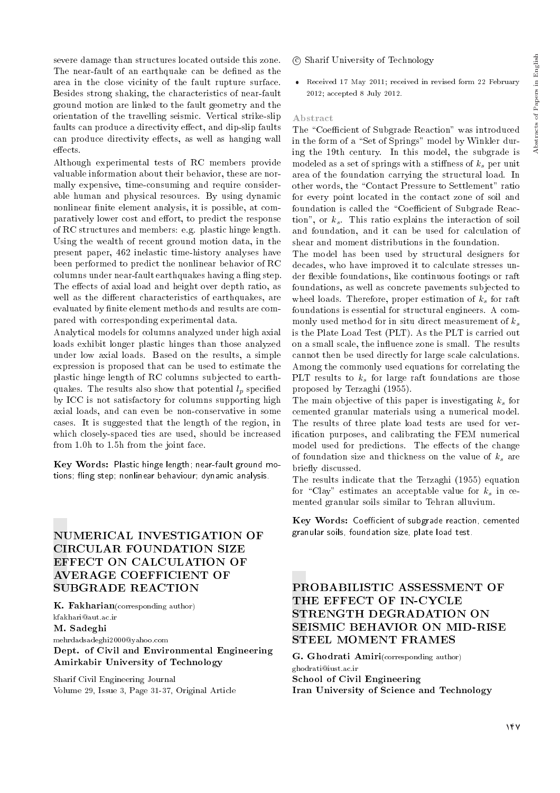severe damage than structures located outside this zone. The near-fault of an earthquake can be defined as the area in the close vicinity of the fault rupture surface. Besides strong shaking, the characteristics of near-fault ground motion are linked to the fault geometry and the orientation of the travelling seismic. Vertical strike-slip faults can produce a directivity effect, and dip-slip faults can produce directivity effects, as well as hanging wall effects.

Although experimental tests of RC members provide valuable information about their behavior, these are normally expensive, time-consuming and require considerable human and physical resources. By using dynamic nonlinear finite element analysis, it is possible, at comparatively lower cost and effort, to predict the response of RC structures and members: e.g. plastic hinge length. Using the wealth of recent ground motion data, in the present paper, 462 inelastic time-history analyses have been performed to predict the nonlinear behavior of RC columns under near-fault earthquakes having a fling step. The effects of axial load and height over depth ratio, as well as the different characteristics of earthquakes, are evaluated by finite element methods and results are compared with corresponding experimental data.

Analytical models for columns analyzed under high axial loads exhibit longer plastic hinges than those analyzed under low axial loads. Based on the results, a simple expression is proposed that can be used to estimate the plastic hinge length of RC columns subjected to earthquakes. The results also show that potential  $l_p$  specified by ICC is not satisfactory for columns supporting high axial loads, and can even be non-conservative in some cases. It is suggested that the length of the region, in which closely-spaced ties are used, should be increased from 1.0h to 1.5h from the joint face.

Key Words: Plastic hinge length; near-fault ground motions; fling step; nonlinear behaviour; dynamic analysis.

# NUMERICAL INVESTIGATION OF CIRCULAR FOUNDATION SIZE EFFECT ON CALCULATION OF AVERAGE COEFFICIENT OF SUBGRADE REACTION

K. Fakharian(corresponding author) kfakhari@aut.ac.ir M. Sadeghi mehrdadsadeghi2000@yahoo.com

Dept. of Civil and Environmental Engineering Amirkabir University of Technology

Sharif Civil Engineering Journal Volume 29, Issue 3, Page 31-37, Original Article

- c Sharif University of Technology
- Received 17 May 2011; received in revised form 22 February 2012; accepted 8 July 2012.

## Abstract

The "Coefficient of Subgrade Reaction" was introduced in the form of a "Set of Springs" model by Winkler during the 19th century. In this model, the subgrade is modeled as a set of springs with a stiffness of  $k_s$  per unit area of the foundation carrying the structural load. In other words, the "Contact Pressure to Settlement" ratio for every point located in the contact zone of soil and foundation is called the "Coefficient of Subgrade Reaction", or  $k_s$ . This ratio explains the interaction of soil and foundation, and it can be used for calculation of shear and moment distributions in the foundation.

The model has been used by structural designers for decades, who have improved it to calculate stresses under flexible foundations, like continuous footings or raft foundations, as well as concrete pavements subjected to wheel loads. Therefore, proper estimation of  $k_s$  for raft foundations is essential for structural engineers. A commonly used method for in situ direct measurement of  $k_s$ is the Plate Load Test (PLT). As the PLT is carried out on a small scale, the influence zone is small. The results cannot then be used directly for large scale calculations. Among the commonly used equations for correlating the PLT results to  $k<sub>s</sub>$  for large raft foundations are those proposed by Terzaghi (1955).

The main objective of this paper is investigating  $k_s$  for cemented granular materials using a numerical model. The results of three plate load tests are used for verication purposes, and calibrating the FEM numerical model used for predictions. The effects of the change of foundation size and thickness on the value of  $k_s$  are briefly discussed.

The results indicate that the Terzaghi (1955) equation for "Clay" estimates an acceptable value for  $k_s$  in cemented granular soils similar to Tehran alluvium.

Key Words: Coefficient of subgrade reaction, cemented granular soils, foundation size, plate load test.

# PROBABILISTIC ASSESSMENT OF THE EFFECT OF IN-CYCLE STRENGTH DEGRADATION ON SEISMIC BEHAVIOR ON MID-RISE STEEL MOMENT FRAMES

G. Ghodrati Amiri(corresponding author) ghodrati@iust.ac.ir School of Civil Engineering Iran University of Science and Technology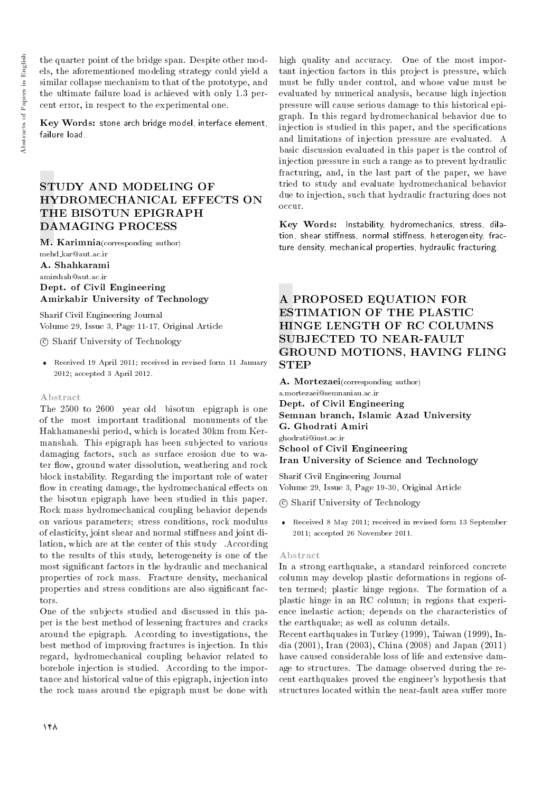the quarter point of the bridge span. Despite other models, the aforementioned modeling strategy could yield a similar collapse mechanism to that of the prototype, and the ultimate failure load is achieved with only 1.3 percent error, in respect to the experimental one.

Key Words: stone arch bridge model, interface element, failure load.

# STUDY AND MODELING OF HYDROMECHANICAL EFFECTS ON THE BISOTUN EPIGRAPH DAMAGING PROCESS

M. Karimnia(corresponding author) mehd kar@aut.ac.ir

A. Shahkarami

amirshah@aut.ac.ir

Dept. of Civil Engineering Amirkabir University of Technology

Sharif Civil Engineering Journal Volume 29, Issue 3, Page 11-17, Original Article

c Sharif University of Technology

 Received 19 April 2011; received in revised form 11 January 2012; accepted 3 April 2012.

## Abstract

The 2500 to 2600 year old bisotun epigraph is one of the most important traditional monuments of the Hakhamaneshi period, which is located 30km from Kermanshah. This epigraph has been subjected to various damaging factors, such as surface erosion due to water flow, ground water dissolution, weathering and rock block instability. Regarding the important role of water flow in creating damage, the hydromechanical effects on the bisotun epigraph have been studied in this paper. Rock mass hydromechanical coupling behavior depends on various parameters; stress conditions, rock modulus of elasticity, joint shear and normal stiffness and joint dilation, which are at the center of this study . According to the results of this study, heterogeneity is one of the most signicant factors in the hydraulic and mechanical properties of rock mass. Fracture density, mechanical properties and stress conditions are also signicant factors.

One of the subjects studied and discussed in this paper is the best method of lessening fractures and cracks around the epigraph. According to investigations, the best method of improving fractures is injection. In this regard, hydromechanical coupling behavior related to borehole injection is studied. According to the importance and historical value of this epigraph, injection into the rock mass around the epigraph must be done with

high quality and accuracy. One of the most important injection factors in this project is pressure, which must be fully under control, and whose value must be evaluated by numerical analysis, because high injection pressure will cause serious damage to this historical epigraph. In this regard hydromechanical behavior due to injection is studied in this paper, and the specifications and limitations of injection pressure are evaluated. A basic discussion evaluated in this paper is the control of injection pressure in such a range as to prevent hydraulic fracturing, and, in the last part of the paper, we have tried to study and evaluate hydromechanical behavior due to injection, such that hydraulic fracturing does not occur.

Key Words: Instability, hydromechanics, stress, dilation, shear stiffness, normal stiffness, heterogeneity, fracture density, mechanical properties, hydraulic fracturing.

# A PROPOSED EQUATION FOR ESTIMATION OF THE PLASTIC HINGE LENGTH OF RC COLUMNS SUBJECTED TO NEAR-FAULT GROUND MOTIONS, HAVING FLING STEP

A. Mortezaei(corresponding author)

a.mortezaei@semnaniau.ac.ir Dept. of Civil Engineering Semnan branch, Islamic Azad University G. Ghodrati Amiri ghodrati@iust.ac.ir School of Civil Engineering Iran University of Science and Technology

Sharif Civil Engineering Journal Volume 29, Issue 3, Page 19-30, Original Article

c Sharif University of Technology

 Received 8 May 2011; received in revised form 13 September 2011; accepted 26 November 2011.

## Abstract

In a strong earthquake, a standard reinforced concrete column may develop plastic deformations in regions often termed; plastic hinge regions. The formation of a plastic hinge in an RC column; in regions that experience inelastic action; depends on the characteristics of the earthquake; as well as column details.

Recent earthquakes in Turkey (1999), Taiwan (1999), India (2001), Iran (2003), China (2008) and Japan (2011) have caused considerable loss of life and extensive damage to structures. The damage observed during the recent earthquakes proved the engineer's hypothesis that structures located within the near-fault area suffer more